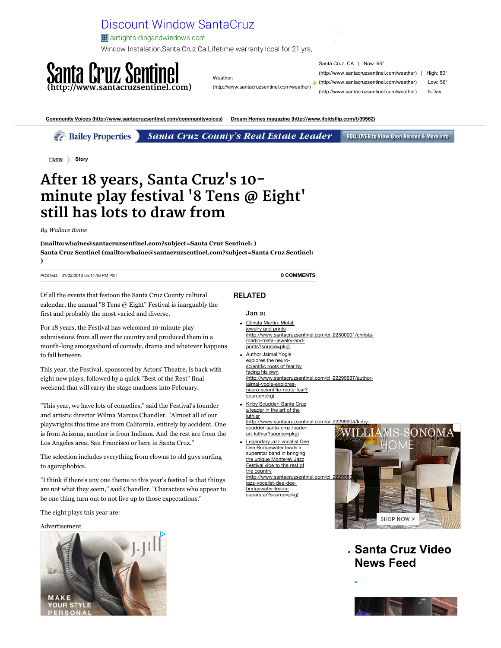

Weather:

Santa Cruz, CA | Nov (http://www.santacruzse (http://www.santacruzse (http://www.santacruzse

[\(http://www.santacruzsentinel.com/weather\)](http://www.santacruzsentinel.com/weather)

**[Community Voices \(http://www.santacruzsentinel.com/communityvoices\)](http://www.santacruzsentinel.com/communityvoices) [Dream Homes magazine \(http://www.ifoldsflip.com/t/39562\)](http://www.ifoldsflip.com/t/39562)**

**Guide to weekend open houses (http://www.santacruzsentinel.com/ci\_19096905) Drive: Car news, reviews (http://www.santacruzsentinel.com/drive)** *Calley Properties Santa Cruz County's Real Estate Leader* **ROLL OVER** 

[Home](http://www.santacruzsentinel.com/) **Story**

## **After 18 years, Santa Cruz's 10 minute play festival '8 Tens @ Eight' still has lots to draw from**

*By Wallace Baine*

**[\(mailto:wbaine@santacruzsentinel.com?subject=Santa Cruz Sentinel: \)](mailto:wbaine@santacruzsentinel.com?subject=Santa%20Cruz%20Sentinel:) [Santa Cruz Sentinel \(mailto:wbaine@santacruzsentinel.com?subject=Santa Cruz Sentinel:](mailto:wbaine@santacruzsentinel.com?subject=Santa%20Cruz%20Sentinel:) )**

POSTED: 01/02/2013 05:14:16 PM PST

Of all the events that festoon the Santa Cruz County cultural calendar, the annual "8 Tens @ Eight" Festival is inarguably the first and probably the most varied and diverse.

For 18 years, the Festival has welcomed 10-minute play submissions from all over the country and produced them in a month-long smorgasbord of comedy, drama and whatever happens to fall between.

This year, the Festival, sponsored by Actors' Theatre, is back with eight new plays, followed by a quick "Best of the Rest" final weekend that will carry the stage madness into February.

"This year, we have lots of comedies," said the Festival's founder and artistic director Wilma Marcus Chandler. "Almost all of our playwrights this time are from California, entirely by accident. One is from Arizona, another is from Indiana. And the rest are from the Los Angeles area, San Francisco or here in Santa Cruz."

The selection includes everything from clowns to old guys surfing to agoraphobics.

"I think if there's any one theme to this year's festival is that things are not what they seem," said Chandler. "Characters who appear to be one thing turn out to not live up to those expectations."

The eight plays this year are:

Advertisement



## $RELATED$

## **Jan 2:**

Christa Martin: Metal, jewelry and prints [\(http://www.santacruzsentinel.com/ci\\_22300001/christa](http://www.santacruzsentinel.com/ci_22300001/christa-martin-metal-jewelry-and-prints?source=pkg)martin-metal-jewelry-andprints?source=pkg)

**[0 COMMENTS](http://www.santacruzsentinel.com/ci_22299907/after-18-years-santa-cruzs-10-minute-play#disqus_thread)**

- Author Jaimal Yogis explores the neuroscientific roots of fear by facing his own [\(http://www.santacruzsentinel.com/ci\\_22299937/author](http://www.santacruzsentinel.com/ci_22299937/author-jaimal-yogis-explores-neuro-scientific-roots-fear?source=pkg)jaimal-yogis-exploresneuro-scientific-roots-fear? source=pkg)
- Kirby Scudder: Santa Cruz a leader in the art of the **luthier** (http://www.santacruzsentinel.com/ci scudder-santa-cruz-leaderart-luthier?source=pkg)
- Legendary jazz vocalist Dee Dee Bridgewater leads a superstar band in bringing the unique Monterey Jazz Festival vibe to the rest of the country (http://www.santacruzsentinel.com/ci jazz-vocalist-dee-deebridgewater-leadssuperstar?source=pkg)



. Saı **N**